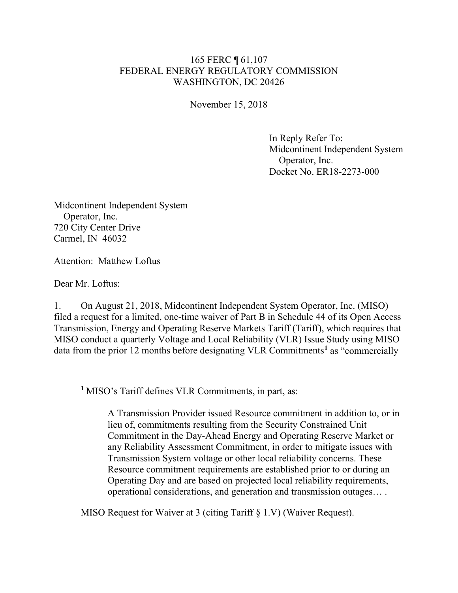## 165 FERC ¶ 61,107 FEDERAL ENERGY REGULATORY COMMISSION WASHINGTON, DC 20426

November 15, 2018

In Reply Refer To: Midcontinent Independent System Operator, Inc. Docket No. ER18-2273-000

Midcontinent Independent System Operator, Inc. 720 City Center Drive Carmel, IN 46032

Attention: Matthew Loftus

Dear Mr. Loftus:

<span id="page-0-0"></span> $\overline{a}$ 

1. On August 21, 2018, Midcontinent Independent System Operator, Inc. (MISO) filed a request for a limited, one-time waiver of Part B in Schedule 44 of its Open Access Transmission, Energy and Operating Reserve Markets Tariff (Tariff), which requires that MISO conduct a quarterly Voltage and Local Reliability (VLR) Issue Study using MISO data from the prior 12 months before designating VLR Commitments**[1](#page-0-0)** as "commercially

**<sup>1</sup>** MISO's Tariff defines VLR Commitments, in part, as:

A Transmission Provider issued Resource commitment in addition to, or in lieu of, commitments resulting from the Security Constrained Unit Commitment in the Day-Ahead Energy and Operating Reserve Market or any Reliability Assessment Commitment, in order to mitigate issues with Transmission System voltage or other local reliability concerns. These Resource commitment requirements are established prior to or during an Operating Day and are based on projected local reliability requirements, operational considerations, and generation and transmission outages… .

MISO Request for Waiver at 3 (citing Tariff § 1.V) (Waiver Request).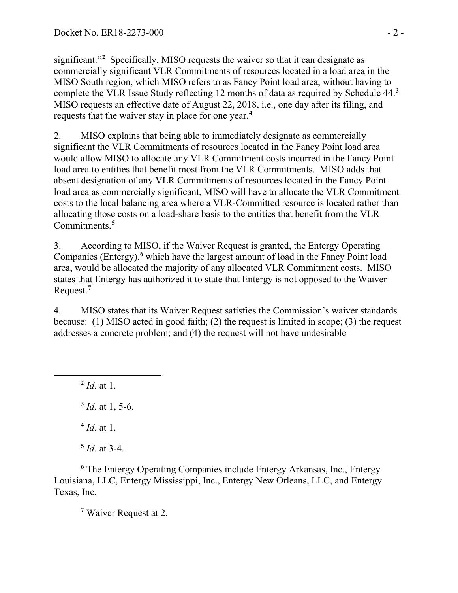significant."**[2](#page-1-0)** Specifically, MISO requests the waiver so that it can designate as commercially significant VLR Commitments of resources located in a load area in the MISO South region, which MISO refers to as Fancy Point load area, without having to complete the VLR Issue Study reflecting 12 months of data as required by Schedule 44.**[3](#page-1-1)** MISO requests an effective date of August 22, 2018, i.e., one day after its filing, and requests that the waiver stay in place for one year.**[4](#page-1-2)**

2. MISO explains that being able to immediately designate as commercially significant the VLR Commitments of resources located in the Fancy Point load area would allow MISO to allocate any VLR Commitment costs incurred in the Fancy Point load area to entities that benefit most from the VLR Commitments. MISO adds that absent designation of any VLR Commitments of resources located in the Fancy Point load area as commercially significant, MISO will have to allocate the VLR Commitment costs to the local balancing area where a VLR-Committed resource is located rather than allocating those costs on a load-share basis to the entities that benefit from the VLR Commitments.**[5](#page-1-3)**

3. According to MISO, if the Waiver Request is granted, the Entergy Operating Companies (Entergy),<sup>[6](#page-1-4)</sup> which have the largest amount of load in the Fancy Point load area, would be allocated the majority of any allocated VLR Commitment costs. MISO states that Entergy has authorized it to state that Entergy is not opposed to the Waiver Request. **[7](#page-1-5)**

4. MISO states that its Waiver Request satisfies the Commission's waiver standards because: (1) MISO acted in good faith; (2) the request is limited in scope; (3) the request addresses a concrete problem; and (4) the request will not have undesirable

**<sup>2</sup>** *Id.* at 1. **<sup>3</sup>** *Id.* at 1, 5-6.

<span id="page-1-1"></span><span id="page-1-0"></span> $\overline{a}$ 

**<sup>4</sup>** *Id.* at 1.

 $5$  *Id.* at 3-4.

<span id="page-1-5"></span><span id="page-1-4"></span><span id="page-1-3"></span><span id="page-1-2"></span>**<sup>6</sup>** The Entergy Operating Companies include Entergy Arkansas, Inc., Entergy Louisiana, LLC, Entergy Mississippi, Inc., Entergy New Orleans, LLC, and Entergy Texas, Inc.

**<sup>7</sup>** Waiver Request at 2.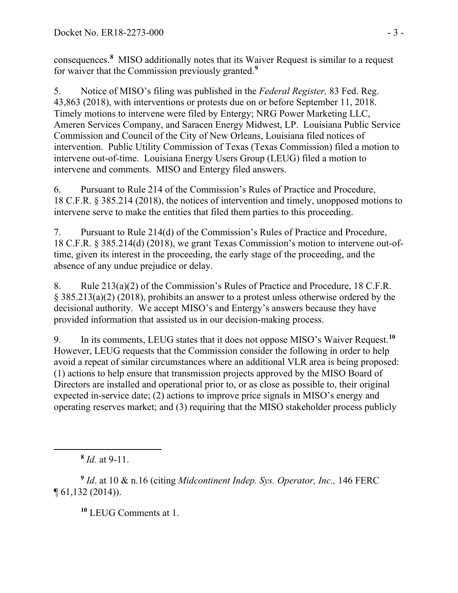consequences.**[8](#page-2-0)** MISO additionally notes that its Waiver Request is similar to a request for waiver that the Commission previously granted.**[9](#page-2-1)**

5. Notice of MISO's filing was published in the *Federal Register,* 83 Fed. Reg. 43,863 (2018), with interventions or protests due on or before September 11, 2018. Timely motions to intervene were filed by Entergy; NRG Power Marketing LLC, Ameren Services Company, and Saracen Energy Midwest, LP. Louisiana Public Service Commission and Council of the City of New Orleans, Louisiana filed notices of intervention. Public Utility Commission of Texas (Texas Commission) filed a motion to intervene out-of-time. Louisiana Energy Users Group (LEUG) filed a motion to intervene and comments. MISO and Entergy filed answers.

6. Pursuant to Rule 214 of the Commission's Rules of Practice and Procedure, 18 C.F.R. § 385.214 (2018), the notices of intervention and timely, unopposed motions to intervene serve to make the entities that filed them parties to this proceeding.

7. Pursuant to Rule 214(d) of the Commission's Rules of Practice and Procedure, 18 C.F.R. § 385.214(d) (2018), we grant Texas Commission's motion to intervene out-oftime, given its interest in the proceeding, the early stage of the proceeding, and the absence of any undue prejudice or delay.

8. Rule 213(a)(2) of the Commission's Rules of Practice and Procedure, 18 C.F.R. § 385.213(a)(2) (2018), prohibits an answer to a protest unless otherwise ordered by the decisional authority. We accept MISO's and Entergy's answers because they have provided information that assisted us in our decision-making process.

9. In its comments, LEUG states that it does not oppose MISO's Waiver Request.**[10](#page-2-2)** However, LEUG requests that the Commission consider the following in order to help avoid a repeat of similar circumstances where an additional VLR area is being proposed: (1) actions to help ensure that transmission projects approved by the MISO Board of Directors are installed and operational prior to, or as close as possible to, their original expected in-service date; (2) actions to improve price signals in MISO's energy and operating reserves market; and (3) requiring that the MISO stakeholder process publicly

<span id="page-2-0"></span> $\overline{a}$ 

**<sup>10</sup>** LEUG Comments at 1.

**<sup>8</sup>** *Id.* at 9-11.

<span id="page-2-2"></span><span id="page-2-1"></span>**<sup>9</sup>** *Id*. at 10 & n.16 (citing *Midcontinent Indep. Sys. Operator, Inc.,* 146 FERC ¶ 61,132 (2014)).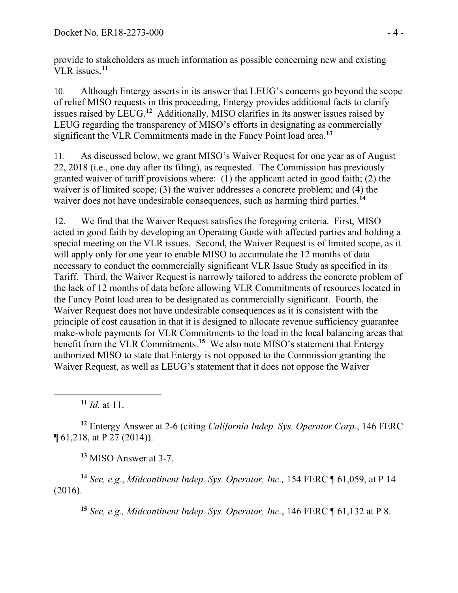provide to stakeholders as much information as possible concerning new and existing VLR issues. **[11](#page-3-0)**

10. Although Entergy asserts in its answer that LEUG's concerns go beyond the scope of relief MISO requests in this proceeding, Entergy provides additional facts to clarify issues raised by LEUG.**[12](#page-3-1)** Additionally, MISO clarifies in its answer issues raised by LEUG regarding the transparency of MISO's efforts in designating as commercially significant the VLR Commitments made in the Fancy Point load area.**[13](#page-3-2)**

11. As discussed below, we grant MISO's Waiver Request for one year as of August 22, 2018 (i.e., one day after its filing), as requested. The Commission has previously granted waiver of tariff provisions where: (1) the applicant acted in good faith; (2) the waiver is of limited scope; (3) the waiver addresses a concrete problem; and (4) the waiver does not have undesirable consequences, such as harming third parties.<sup>[14](#page-3-3)</sup>

12. We find that the Waiver Request satisfies the foregoing criteria. First, MISO acted in good faith by developing an Operating Guide with affected parties and holding a special meeting on the VLR issues. Second, the Waiver Request is of limited scope, as it will apply only for one year to enable MISO to accumulate the 12 months of data necessary to conduct the commercially significant VLR Issue Study as specified in its Tariff. Third, the Waiver Request is narrowly tailored to address the concrete problem of the lack of 12 months of data before allowing VLR Commitments of resources located in the Fancy Point load area to be designated as commercially significant. Fourth, the Waiver Request does not have undesirable consequences as it is consistent with the principle of cost causation in that it is designed to allocate revenue sufficiency guarantee make-whole payments for VLR Commitments to the load in the local balancing areas that benefit from the VLR Commitments. **[15](#page-3-4)** We also note MISO's statement that Entergy authorized MISO to state that Entergy is not opposed to the Commission granting the Waiver Request, as well as LEUG's statement that it does not oppose the Waiver

**<sup>11</sup>** *Id.* at 11.

<span id="page-3-0"></span> $\overline{a}$ 

<span id="page-3-1"></span>**<sup>12</sup>** Entergy Answer at 2-6 (citing *California Indep. Sys. Operator Corp.*, 146 FERC ¶ 61,218, at P 27 (2014)).

**<sup>13</sup>** MISO Answer at 3-7.

<span id="page-3-4"></span><span id="page-3-3"></span><span id="page-3-2"></span>**<sup>14</sup>** *See, e.g.*, *Midcontinent Indep. Sys. Operator, Inc.,* 154 FERC ¶ 61,059, at P 14 (2016).

**<sup>15</sup>** *See, e.g., Midcontinent Indep. Sys. Operator, Inc.*, 146 FERC ¶ 61,132 at P 8.